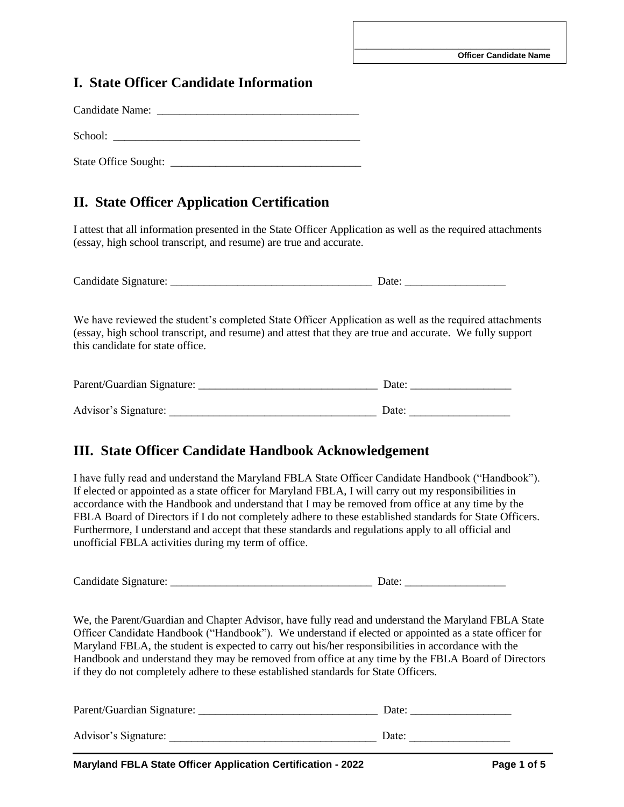## **I. State Officer Candidate Information**

Candidate Name: \_\_\_\_\_\_\_\_\_\_\_\_\_\_\_\_\_\_\_\_\_\_\_\_\_\_\_\_\_\_\_\_\_\_\_\_ School: \_\_\_\_\_\_\_\_\_\_\_\_\_\_\_\_\_\_\_\_\_\_\_\_\_\_\_\_\_\_\_\_\_\_\_\_\_\_\_\_\_\_\_\_

State Office Sought: \_\_\_\_\_\_\_\_\_\_\_\_\_\_\_\_\_\_\_\_\_\_\_\_\_\_\_\_\_\_\_\_\_\_

# **II. State Officer Application Certification**

I attest that all information presented in the State Officer Application as well as the required attachments (essay, high school transcript, and resume) are true and accurate.

Candidate Signature: \_\_\_\_\_\_\_\_\_\_\_\_\_\_\_\_\_\_\_\_\_\_\_\_\_\_\_\_\_\_\_\_\_\_\_\_ Date: \_\_\_\_\_\_\_\_\_\_\_\_\_\_\_\_\_\_

We have reviewed the student's completed State Officer Application as well as the required attachments (essay, high school transcript, and resume) and attest that they are true and accurate. We fully support this candidate for state office.

| Parent/Guardian Signature: | Date: |
|----------------------------|-------|
|                            |       |
| Advisor's Signature:       | Date: |

## **III. State Officer Candidate Handbook Acknowledgement**

I have fully read and understand the Maryland FBLA State Officer Candidate Handbook ("Handbook"). If elected or appointed as a state officer for Maryland FBLA, I will carry out my responsibilities in accordance with the Handbook and understand that I may be removed from office at any time by the FBLA Board of Directors if I do not completely adhere to these established standards for State Officers. Furthermore, I understand and accept that these standards and regulations apply to all official and unofficial FBLA activities during my term of office.

Candidate Signature: \_\_\_\_\_\_\_\_\_\_\_\_\_\_\_\_\_\_\_\_\_\_\_\_\_\_\_\_\_\_\_\_\_\_\_\_ Date: \_\_\_\_\_\_\_\_\_\_\_\_\_\_\_\_\_\_

We, the Parent/Guardian and Chapter Advisor, have fully read and understand the Maryland FBLA State Officer Candidate Handbook ("Handbook"). We understand if elected or appointed as a state officer for Maryland FBLA, the student is expected to carry out his/her responsibilities in accordance with the Handbook and understand they may be removed from office at any time by the FBLA Board of Directors if they do not completely adhere to these established standards for State Officers.

| Parent/Guardian Signature: | Date: |
|----------------------------|-------|
| Advisor's Signature:       | Date: |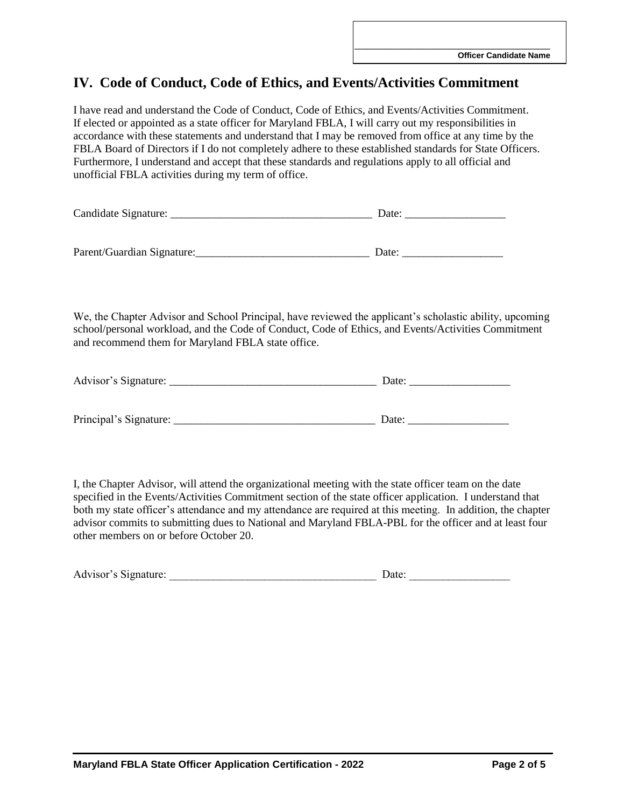# **IV. Code of Conduct, Code of Ethics, and Events/Activities Commitment**

I have read and understand the Code of Conduct, Code of Ethics, and Events/Activities Commitment. If elected or appointed as a state officer for Maryland FBLA, I will carry out my responsibilities in accordance with these statements and understand that I may be removed from office at any time by the FBLA Board of Directors if I do not completely adhere to these established standards for State Officers. Furthermore, I understand and accept that these standards and regulations apply to all official and unofficial FBLA activities during my term of office.

| Candidate Signature:       | Date: |
|----------------------------|-------|
|                            |       |
|                            |       |
| Parent/Guardian Signature: | Date: |

We, the Chapter Advisor and School Principal, have reviewed the applicant's scholastic ability, upcoming school/personal workload, and the Code of Conduct, Code of Ethics, and Events/Activities Commitment and recommend them for Maryland FBLA state office.

| Advisor's Signature:   | Date: |
|------------------------|-------|
|                        |       |
|                        |       |
| Principal's Signature: | Date: |

I, the Chapter Advisor, will attend the organizational meeting with the state officer team on the date specified in the Events/Activities Commitment section of the state officer application. I understand that both my state officer's attendance and my attendance are required at this meeting. In addition, the chapter advisor commits to submitting dues to National and Maryland FBLA-PBL for the officer and at least four other members on or before October 20.

| Advisor's Signature: | )ate: |
|----------------------|-------|
|                      |       |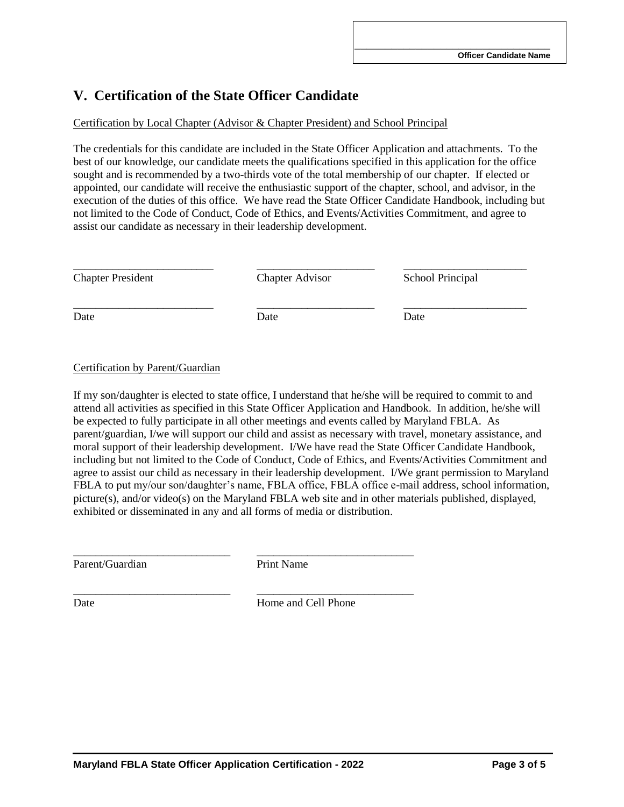## **V. Certification of the State Officer Candidate**

### Certification by Local Chapter (Advisor & Chapter President) and School Principal

The credentials for this candidate are included in the State Officer Application and attachments. To the best of our knowledge, our candidate meets the qualifications specified in this application for the office sought and is recommended by a two-thirds vote of the total membership of our chapter. If elected or appointed, our candidate will receive the enthusiastic support of the chapter, school, and advisor, in the execution of the duties of this office. We have read the State Officer Candidate Handbook, including but not limited to the Code of Conduct, Code of Ethics, and Events/Activities Commitment, and agree to assist our candidate as necessary in their leadership development.

Chapter President Chapter Advisor School Principal

\_\_\_\_\_\_\_\_\_\_\_\_\_\_\_\_\_\_\_\_\_\_\_\_\_ \_\_\_\_\_\_\_\_\_\_\_\_\_\_\_\_\_\_\_\_\_ \_\_\_\_\_\_\_\_\_\_\_\_\_\_\_\_\_\_\_\_\_\_

\_\_\_\_\_\_\_\_\_\_\_\_\_\_\_\_\_\_\_\_\_\_\_\_\_ \_\_\_\_\_\_\_\_\_\_\_\_\_\_\_\_\_\_\_\_\_ \_\_\_\_\_\_\_\_\_\_\_\_\_\_\_\_\_\_\_\_\_\_

Date Date Date Date

### Certification by Parent/Guardian

If my son/daughter is elected to state office, I understand that he/she will be required to commit to and attend all activities as specified in this State Officer Application and Handbook. In addition, he/she will be expected to fully participate in all other meetings and events called by Maryland FBLA. As parent/guardian, I/we will support our child and assist as necessary with travel, monetary assistance, and moral support of their leadership development. I/We have read the State Officer Candidate Handbook, including but not limited to the Code of Conduct, Code of Ethics, and Events/Activities Commitment and agree to assist our child as necessary in their leadership development. I/We grant permission to Maryland FBLA to put my/our son/daughter's name, FBLA office, FBLA office e-mail address, school information, picture(s), and/or video(s) on the Maryland FBLA web site and in other materials published, displayed, exhibited or disseminated in any and all forms of media or distribution.

Parent/Guardian Print Name

\_\_\_\_\_\_\_\_\_\_\_\_\_\_\_\_\_\_\_\_\_\_\_\_\_\_\_\_ \_\_\_\_\_\_\_\_\_\_\_\_\_\_\_\_\_\_\_\_\_\_\_\_\_\_\_\_

\_\_\_\_\_\_\_\_\_\_\_\_\_\_\_\_\_\_\_\_\_\_\_\_\_\_\_\_ \_\_\_\_\_\_\_\_\_\_\_\_\_\_\_\_\_\_\_\_\_\_\_\_\_\_\_\_

Date Home and Cell Phone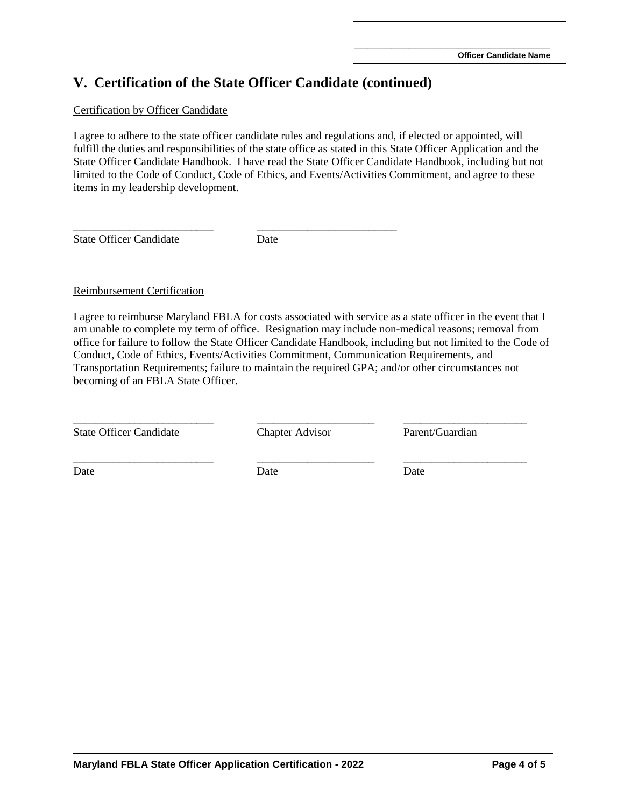## **V. Certification of the State Officer Candidate (continued)**

#### Certification by Officer Candidate

I agree to adhere to the state officer candidate rules and regulations and, if elected or appointed, will fulfill the duties and responsibilities of the state office as stated in this State Officer Application and the State Officer Candidate Handbook. I have read the State Officer Candidate Handbook, including but not limited to the Code of Conduct, Code of Ethics, and Events/Activities Commitment, and agree to these items in my leadership development.

State Officer Candidate Date

\_\_\_\_\_\_\_\_\_\_\_\_\_\_\_\_\_\_\_\_\_\_\_\_\_ \_\_\_\_\_\_\_\_\_\_\_\_\_\_\_\_\_\_\_\_\_\_\_\_\_

#### Reimbursement Certification

I agree to reimburse Maryland FBLA for costs associated with service as a state officer in the event that I am unable to complete my term of office. Resignation may include non-medical reasons; removal from office for failure to follow the State Officer Candidate Handbook, including but not limited to the Code of Conduct, Code of Ethics, Events/Activities Commitment, Communication Requirements, and Transportation Requirements; failure to maintain the required GPA; and/or other circumstances not becoming of an FBLA State Officer.

State Officer Candidate Chapter Advisor Parent/Guardian

\_\_\_\_\_\_\_\_\_\_\_\_\_\_\_\_\_\_\_\_\_\_\_\_\_ \_\_\_\_\_\_\_\_\_\_\_\_\_\_\_\_\_\_\_\_\_ \_\_\_\_\_\_\_\_\_\_\_\_\_\_\_\_\_\_\_\_\_\_

\_\_\_\_\_\_\_\_\_\_\_\_\_\_\_\_\_\_\_\_\_\_\_\_\_ \_\_\_\_\_\_\_\_\_\_\_\_\_\_\_\_\_\_\_\_\_ \_\_\_\_\_\_\_\_\_\_\_\_\_\_\_\_\_\_\_\_\_\_

Date Date Date Date